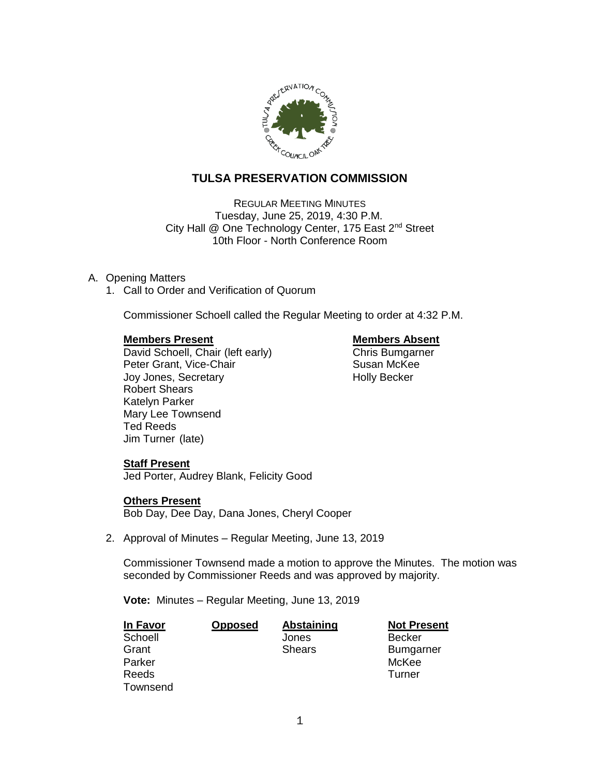

# **TULSA PRESERVATION COMMISSION**

REGULAR MEETING MINUTES Tuesday, June 25, 2019, 4:30 P.M. City Hall @ One Technology Center, 175 East 2<sup>nd</sup> Street 10th Floor - North Conference Room

# A. Opening Matters

1. Call to Order and Verification of Quorum

Commissioner Schoell called the Regular Meeting to order at 4:32 P.M.

**Members Present**<br>
David Schoell, Chair (left early) **Members Absent**<br>
Chris Bumgarner David Schoell, Chair (left early) Peter Grant, Vice-Chair **Susan McKee** Joy Jones, Secretary **Holly Becker** Robert Shears Katelyn Parker Mary Lee Townsend Ted Reeds Jim Turner (late)

# **Staff Present**

Jed Porter, Audrey Blank, Felicity Good

### **Others Present**

Bob Day, Dee Day, Dana Jones, Cheryl Cooper

2. Approval of Minutes – Regular Meeting, June 13, 2019

Commissioner Townsend made a motion to approve the Minutes. The motion was seconded by Commissioner Reeds and was approved by majority.

**Vote:** Minutes – Regular Meeting, June 13, 2019

| In Favor | <b>Opposed</b> | Abstaining    | <b>Not Present</b> |
|----------|----------------|---------------|--------------------|
| Schoell  |                | Jones         | Becker             |
| Grant    |                | <b>Shears</b> | <b>Bumgarner</b>   |
| Parker   |                |               | McKee              |
| Reeds    |                |               | Turner             |
| Townsend |                |               |                    |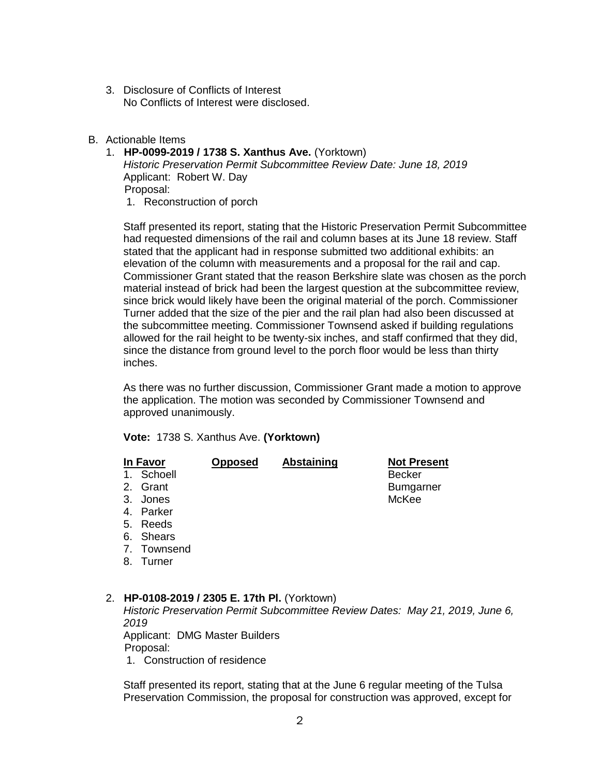- 3. Disclosure of Conflicts of Interest No Conflicts of Interest were disclosed.
- B. Actionable Items
	- 1. **HP-0099-2019 / 1738 S. Xanthus Ave.** (Yorktown)

*Historic Preservation Permit Subcommittee Review Date: June 18, 2019* Applicant: Robert W. Day Proposal: 1. Reconstruction of porch

Staff presented its report, stating that the Historic Preservation Permit Subcommittee had requested dimensions of the rail and column bases at its June 18 review. Staff stated that the applicant had in response submitted two additional exhibits: an elevation of the column with measurements and a proposal for the rail and cap. Commissioner Grant stated that the reason Berkshire slate was chosen as the porch material instead of brick had been the largest question at the subcommittee review, since brick would likely have been the original material of the porch. Commissioner Turner added that the size of the pier and the rail plan had also been discussed at the subcommittee meeting. Commissioner Townsend asked if building regulations allowed for the rail height to be twenty-six inches, and staff confirmed that they did, since the distance from ground level to the porch floor would be less than thirty inches.

As there was no further discussion, Commissioner Grant made a motion to approve the application. The motion was seconded by Commissioner Townsend and approved unanimously.

**Vote:** 1738 S. Xanthus Ave. **(Yorktown)**

| In Favor     | <b>Opposed</b> | <b>Abstaining</b> | <b>Not Present</b> |
|--------------|----------------|-------------------|--------------------|
| 1. Schoell   |                |                   | <b>Becker</b>      |
| 2. Grant     |                |                   | <b>Bumgarner</b>   |
| 3. Jones     |                |                   | McKee              |
| 4. Parker    |                |                   |                    |
| 5. Reeds     |                |                   |                    |
| 6. Shears    |                |                   |                    |
| 7. Townsend  |                |                   |                    |
| $0$ T. $max$ |                |                   |                    |

8. Turner

### 2. **HP-0108-2019 / 2305 E. 17th Pl.** (Yorktown)

*Historic Preservation Permit Subcommittee Review Dates: May 21, 2019, June 6, 2019* Applicant: DMG Master Builders

Proposal:

1. Construction of residence

Staff presented its report, stating that at the June 6 regular meeting of the Tulsa Preservation Commission, the proposal for construction was approved, except for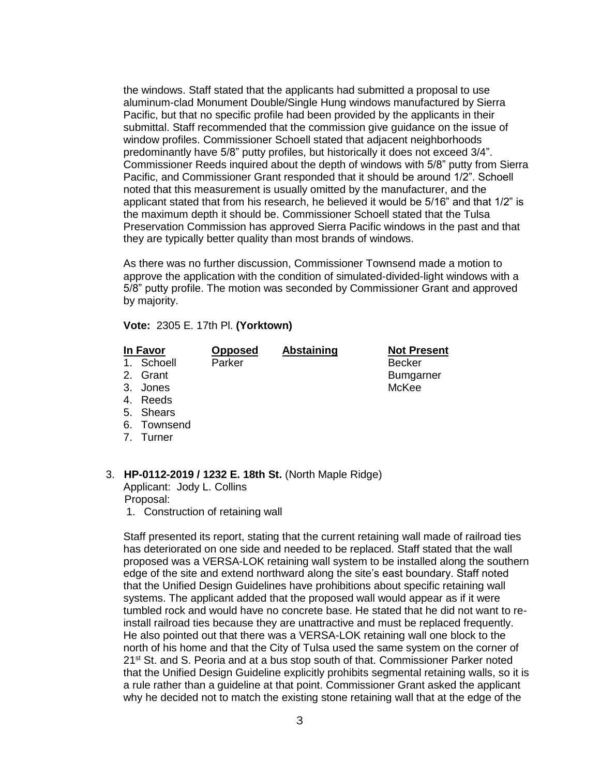the windows. Staff stated that the applicants had submitted a proposal to use aluminum-clad Monument Double/Single Hung windows manufactured by Sierra Pacific, but that no specific profile had been provided by the applicants in their submittal. Staff recommended that the commission give guidance on the issue of window profiles. Commissioner Schoell stated that adjacent neighborhoods predominantly have 5/8" putty profiles, but historically it does not exceed 3/4". Commissioner Reeds inquired about the depth of windows with 5/8" putty from Sierra Pacific, and Commissioner Grant responded that it should be around 1/2". Schoell noted that this measurement is usually omitted by the manufacturer, and the applicant stated that from his research, he believed it would be 5/16" and that 1/2" is the maximum depth it should be. Commissioner Schoell stated that the Tulsa Preservation Commission has approved Sierra Pacific windows in the past and that they are typically better quality than most brands of windows.

As there was no further discussion, Commissioner Townsend made a motion to approve the application with the condition of simulated-divided-light windows with a 5/8" putty profile. The motion was seconded by Commissioner Grant and approved by majority.

**Vote:** 2305 E. 17th Pl. **(Yorktown)**

## **In Favor Opposed Abstaining Not Present**

1. Schoell Parker and Parker Becker

2. Grant Bumgarner

- 
- 3. Jones McKee
- 4. Reeds
- 5. Shears
- 6. Townsend
- 7. Turner

# 3. **HP-0112-2019 / 1232 E. 18th St.** (North Maple Ridge)

Applicant: Jody L. Collins Proposal:

1. Construction of retaining wall

Staff presented its report, stating that the current retaining wall made of railroad ties has deteriorated on one side and needed to be replaced. Staff stated that the wall proposed was a VERSA-LOK retaining wall system to be installed along the southern edge of the site and extend northward along the site's east boundary. Staff noted that the Unified Design Guidelines have prohibitions about specific retaining wall systems. The applicant added that the proposed wall would appear as if it were tumbled rock and would have no concrete base. He stated that he did not want to reinstall railroad ties because they are unattractive and must be replaced frequently. He also pointed out that there was a VERSA-LOK retaining wall one block to the north of his home and that the City of Tulsa used the same system on the corner of 21<sup>st</sup> St. and S. Peoria and at a bus stop south of that. Commissioner Parker noted that the Unified Design Guideline explicitly prohibits segmental retaining walls, so it is a rule rather than a guideline at that point. Commissioner Grant asked the applicant why he decided not to match the existing stone retaining wall that at the edge of the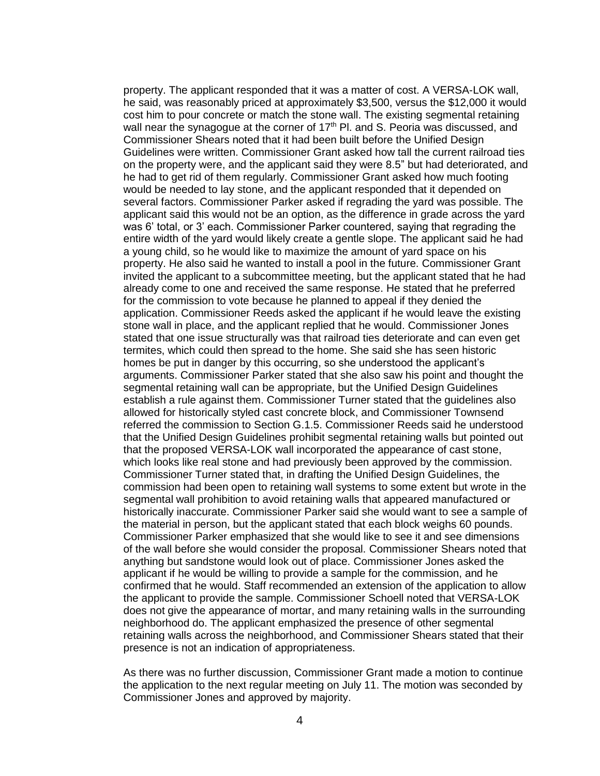property. The applicant responded that it was a matter of cost. A VERSA-LOK wall, he said, was reasonably priced at approximately \$3,500, versus the \$12,000 it would cost him to pour concrete or match the stone wall. The existing segmental retaining wall near the synagogue at the corner of  $17<sup>th</sup>$  Pl. and S. Peoria was discussed, and Commissioner Shears noted that it had been built before the Unified Design Guidelines were written. Commissioner Grant asked how tall the current railroad ties on the property were, and the applicant said they were 8.5" but had deteriorated, and he had to get rid of them regularly. Commissioner Grant asked how much footing would be needed to lay stone, and the applicant responded that it depended on several factors. Commissioner Parker asked if regrading the yard was possible. The applicant said this would not be an option, as the difference in grade across the yard was 6' total, or 3' each. Commissioner Parker countered, saying that regrading the entire width of the yard would likely create a gentle slope. The applicant said he had a young child, so he would like to maximize the amount of yard space on his property. He also said he wanted to install a pool in the future. Commissioner Grant invited the applicant to a subcommittee meeting, but the applicant stated that he had already come to one and received the same response. He stated that he preferred for the commission to vote because he planned to appeal if they denied the application. Commissioner Reeds asked the applicant if he would leave the existing stone wall in place, and the applicant replied that he would. Commissioner Jones stated that one issue structurally was that railroad ties deteriorate and can even get termites, which could then spread to the home. She said she has seen historic homes be put in danger by this occurring, so she understood the applicant's arguments. Commissioner Parker stated that she also saw his point and thought the segmental retaining wall can be appropriate, but the Unified Design Guidelines establish a rule against them. Commissioner Turner stated that the guidelines also allowed for historically styled cast concrete block, and Commissioner Townsend referred the commission to Section G.1.5. Commissioner Reeds said he understood that the Unified Design Guidelines prohibit segmental retaining walls but pointed out that the proposed VERSA-LOK wall incorporated the appearance of cast stone, which looks like real stone and had previously been approved by the commission. Commissioner Turner stated that, in drafting the Unified Design Guidelines, the commission had been open to retaining wall systems to some extent but wrote in the segmental wall prohibition to avoid retaining walls that appeared manufactured or historically inaccurate. Commissioner Parker said she would want to see a sample of the material in person, but the applicant stated that each block weighs 60 pounds. Commissioner Parker emphasized that she would like to see it and see dimensions of the wall before she would consider the proposal. Commissioner Shears noted that anything but sandstone would look out of place. Commissioner Jones asked the applicant if he would be willing to provide a sample for the commission, and he confirmed that he would. Staff recommended an extension of the application to allow the applicant to provide the sample. Commissioner Schoell noted that VERSA-LOK does not give the appearance of mortar, and many retaining walls in the surrounding neighborhood do. The applicant emphasized the presence of other segmental retaining walls across the neighborhood, and Commissioner Shears stated that their presence is not an indication of appropriateness.

As there was no further discussion, Commissioner Grant made a motion to continue the application to the next regular meeting on July 11. The motion was seconded by Commissioner Jones and approved by majority.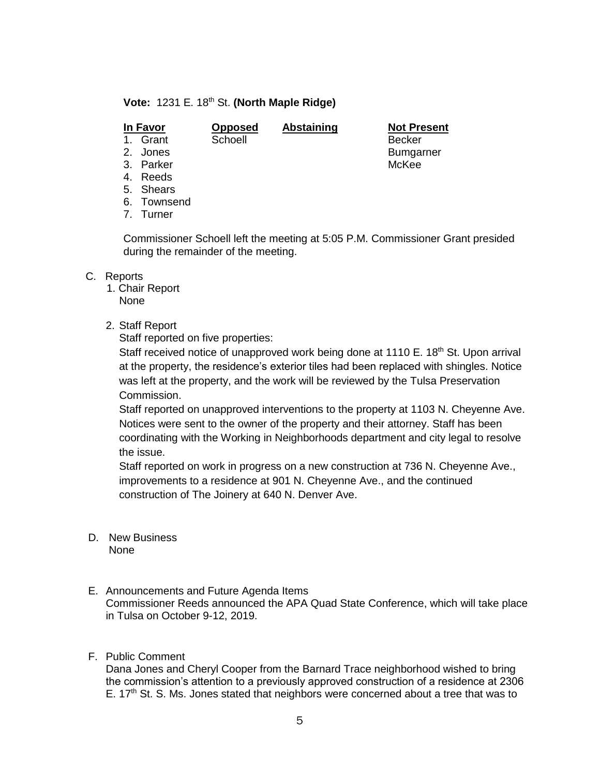# **Vote:** 1231 E. 18th St. **(North Maple Ridge)**

# **In Favor Opposed Abstaining Not Present**

1. Grant Schoell Becker

2. Jones **Bumgarner** 

- 3. Parker McKee
- 4. Reeds
- 5. Shears
- 6. Townsend
- 7. Turner

Commissioner Schoell left the meeting at 5:05 P.M. Commissioner Grant presided during the remainder of the meeting.

# C. Reports

1. Chair Report

None

2. Staff Report

Staff reported on five properties:

Staff received notice of unapproved work being done at 1110 E. 18<sup>th</sup> St. Upon arrival at the property, the residence's exterior tiles had been replaced with shingles. Notice was left at the property, and the work will be reviewed by the Tulsa Preservation Commission.

Staff reported on unapproved interventions to the property at 1103 N. Cheyenne Ave. Notices were sent to the owner of the property and their attorney. Staff has been coordinating with the Working in Neighborhoods department and city legal to resolve the issue.

Staff reported on work in progress on a new construction at 736 N. Cheyenne Ave., improvements to a residence at 901 N. Cheyenne Ave., and the continued construction of The Joinery at 640 N. Denver Ave.

- D. New Business None
- E. Announcements and Future Agenda Items Commissioner Reeds announced the APA Quad State Conference, which will take place in Tulsa on October 9-12, 2019.

# F. Public Comment

Dana Jones and Cheryl Cooper from the Barnard Trace neighborhood wished to bring the commission's attention to a previously approved construction of a residence at 2306 E.  $17<sup>th</sup>$  St. S. Ms. Jones stated that neighbors were concerned about a tree that was to